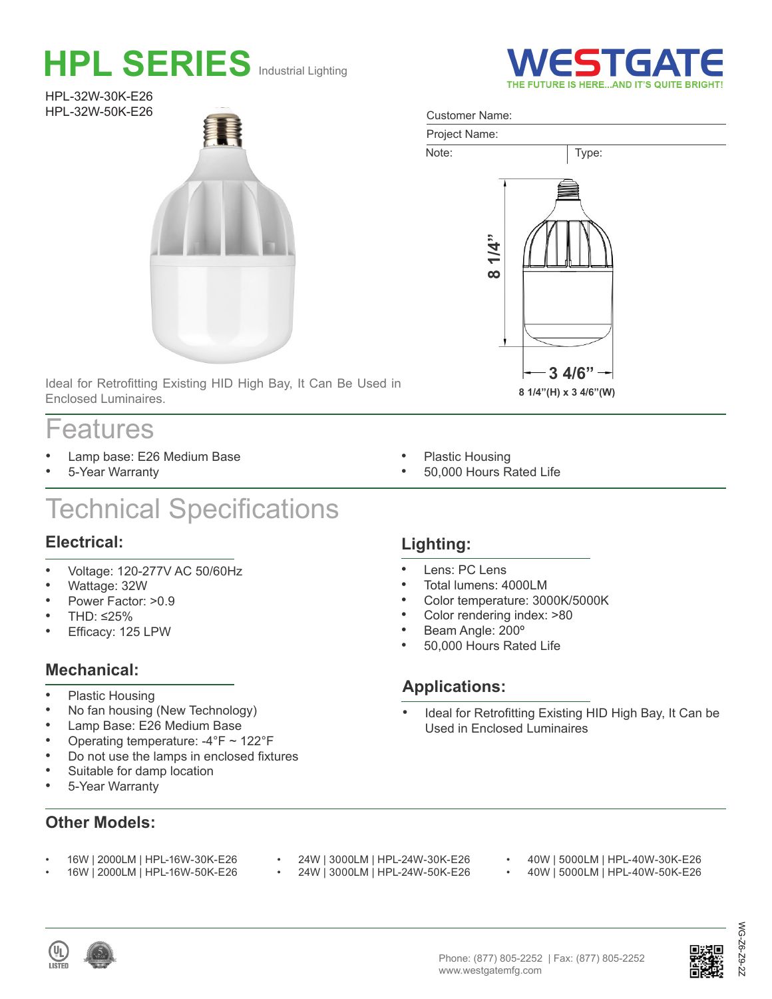# **HPL SERIES** Industrial Lighting

HPL-32W-30K-E26 HPL-32W-50K-E26



Ideal for Retrofitting Existing HID High Bay, It Can Be Used in Enclosed Luminaires.

### Features

- Lamp base: E26 Medium Base
- 5-Year Warranty

## Technical Specifications

#### **Electrical:**

- Voltage: 120-277V AC 50/60Hz
- Wattage: 32W
- Power Factor: >0.9
- THD: ≤25%
- Efficacy: 125 LPW

#### **Mechanical:**

- Plastic Housing
- No fan housing (New Technology)
- Lamp Base: E26 Medium Base
- Operating temperature: -4°F ~ 122°F

• 16W | 2000LM | HPL-16W-30K-E26 • 16W | 2000LM | HPL-16W-50K-E26

- Do not use the lamps in enclosed fixtures
- Suitable for damp location
- 5-Year Warranty

#### **Other Models:**

- 24W | 3000LM | HPL-24W-30K-E26<br>• 24W | 3000LM | HPL-24W-50K-E26
- 24W | 3000LM | HPL-24W-50K-E26
- 40W | 5000LM | HPL-40W-30K-E26<br>• 40W | 5000LM | HPL-40W 50K E26
- 40W | 5000LM | HPL-40W-50K-E26





# $92 -$

WG-Z6-Z9-2Z

 $62$ 

ຣັ

#### Customer Name:



**ESTGA** 

- Plastic Housing
- 50,000 Hours Rated Life

#### **Lighting:**

- Lens: PC Lens
- Total lumens: 4000LM
- Color temperature: 3000K/5000K
- Color rendering index: >80
- Beam Angle: 200º
- 50,000 Hours Rated Life

#### **Applications:**

Ideal for Retrofitting Existing HID High Bay, It Can be Used in Enclosed Luminaires